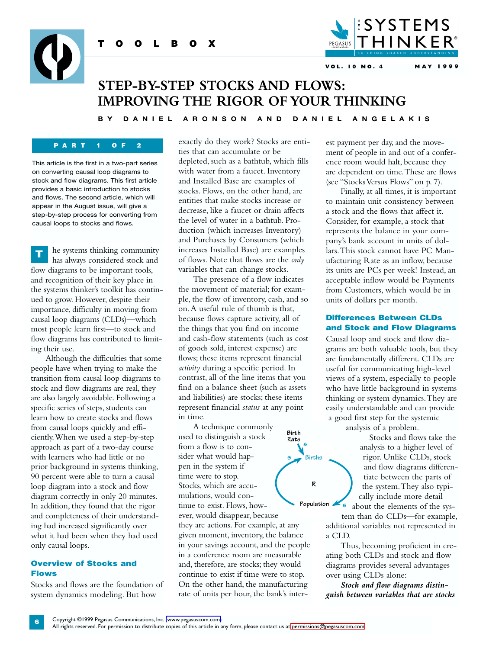

**VOL. 10 NO. 4 MAY 1999**

# **STEP-BY-STEP STOCKS AND FLOWS: IMPROVING THE RIGOR OF YOUR THINKING**

**BY DANIEL ARONSON AND DANIEL ANGELAKIS**

### **PART 1 OF 2**

**TOOLBOX**

This article is the first in a two-part series on converting causal loop diagrams to stock and flow diagrams. This first article provides a basic introduction to stocks and flows. The second article, which will appear in the August issue, will give a step-by-step process for converting from causal loops to stocks and flows.

he systems thinking community has always considered stock and flow diagrams to be important tools, and recognition of their key place in the systems thinker's toolkit has continued to grow. However, despite their importance, difficulty in moving from causal loop diagrams (CLDs)—which most people learn first—to stock and flow diagrams has contributed to limiting their use. **T**

Although the difficulties that some people have when trying to make the transition from causal loop diagrams to stock and flow diagrams are real, they are also largely avoidable. Following a specific series of steps, students can learn how to create stocks and flows from causal loops quickly and efficiently.When we used a step-by-step approach as part of a two-day course with learners who had little or no prior background in systems thinking, 90 percent were able to turn a causal loop diagram into a stock and flow diagram correctly in only 20 minutes. In addition, they found that the rigor and completeness of their understanding had increased significantly over what it had been when they had used only causal loops.

# **Overview of Stocks and Flows**

**6**

Stocks and flows are the foundation of system dynamics modeling. But how

exactly do they work? Stocks are entities that can accumulate or be depleted, such as a bathtub, which fills with water from a faucet. Inventory and Installed Base are examples of stocks. Flows, on the other hand, are entities that make stocks increase or decrease, like a faucet or drain affects the level of water in a bathtub. Production (which increases Inventory) and Purchases by Consumers (which increases Installed Base) are examples of flows. Note that flows are the *only* variables that can change stocks.

The presence of a flow indicates the movement of material; for example, the flow of inventory, cash, and so on.A useful rule of thumb is that, because flows capture activity, all of the things that you find on income and cash-flow statements (such as cost of goods sold, interest expense) are flows; these items represent financial *activity* during a specific period. In contrast, all of the line items that you find on a balance sheet (such as assets and liabilities) are stocks; these items represent financial *status* at any point in time.

A technique commonly used to distinguish a stock from a flow is to consider what would happen in the system if time were to stop. Stocks, which are accumulations, would continue to exist. Flows, however, would disappear, because they are actions. For example, at any given moment, inventory, the balance in your savings account, and the people in a conference room are measurable and, therefore, are stocks; they would continue to exist if time were to stop. On the other hand, the manufacturing rate of units per hour, the bank's inter-**Population s Birth Rate <sup>s</sup>**

est payment per day, and the movement of people in and out of a conference room would halt, because they are dependent on time.These are flows (see "Stocks Versus Flows" on p. 7).

Finally, at all times, it is important to maintain unit consistency between a stock and the flows that affect it. Consider, for example, a stock that represents the balance in your company's bank account in units of dollars.This stock cannot have PC Manufacturing Rate as an inflow, because its units are PCs per week! Instead, an acceptable inflow would be Payments from Customers, which would be in units of dollars per month.

## **Differences Between CLDs and Stock and Flow Diagrams**

Causal loop and stock and flow diagrams are both valuable tools, but they are fundamentally different. CLDs are useful for communicating high-level views of a system, especially to people who have little background in systems thinking or system dynamics.They are easily understandable and can provide a good first step for the systemic

analysis of a problem.

**Births**

**R**

**s**

Stocks and flows take the analysis to a higher level of rigor. Unlike CLDs, stock and flow diagrams differentiate between the parts of the system.They also typically include more detail about the elements of the sys-

tem than do CLDs—for example, additional variables not represented in a CLD.

Thus, becoming proficient in creating both CLDs and stock and flow diagrams provides several advantages over using CLDs alone:

*Stock and flow diagrams distinguish between variables that are stocks*